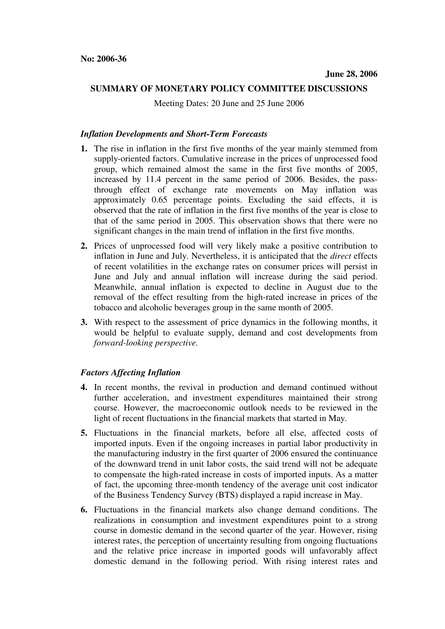## **SUMMARY OF MONETARY POLICY COMMITTEE DISCUSSIONS**

Meeting Dates: 20 June and 25 June 2006

#### *Inflation Developments and Short-Term Forecasts*

- **1.** The rise in inflation in the first five months of the year mainly stemmed from supply-oriented factors. Cumulative increase in the prices of unprocessed food group, which remained almost the same in the first five months of 2005, increased by 11.4 percent in the same period of 2006. Besides, the passthrough effect of exchange rate movements on May inflation was approximately 0.65 percentage points. Excluding the said effects, it is observed that the rate of inflation in the first five months of the year is close to that of the same period in 2005. This observation shows that there were no significant changes in the main trend of inflation in the first five months.
- **2.** Prices of unprocessed food will very likely make a positive contribution to inflation in June and July. Nevertheless, it is anticipated that the *direct* effects of recent volatilities in the exchange rates on consumer prices will persist in June and July and annual inflation will increase during the said period. Meanwhile, annual inflation is expected to decline in August due to the removal of the effect resulting from the high-rated increase in prices of the tobacco and alcoholic beverages group in the same month of 2005.
- **3.** With respect to the assessment of price dynamics in the following months, it would be helpful to evaluate supply, demand and cost developments from *forward-looking perspective.*

# *Factors Affecting Inflation*

- **4.** In recent months, the revival in production and demand continued without further acceleration, and investment expenditures maintained their strong course. However, the macroeconomic outlook needs to be reviewed in the light of recent fluctuations in the financial markets that started in May.
- **5.** Fluctuations in the financial markets, before all else, affected costs of imported inputs. Even if the ongoing increases in partial labor productivity in the manufacturing industry in the first quarter of 2006 ensured the continuance of the downward trend in unit labor costs, the said trend will not be adequate to compensate the high-rated increase in costs of imported inputs. As a matter of fact, the upcoming three-month tendency of the average unit cost indicator of the Business Tendency Survey (BTS) displayed a rapid increase in May.
- **6.** Fluctuations in the financial markets also change demand conditions. The realizations in consumption and investment expenditures point to a strong course in domestic demand in the second quarter of the year. However, rising interest rates, the perception of uncertainty resulting from ongoing fluctuations and the relative price increase in imported goods will unfavorably affect domestic demand in the following period. With rising interest rates and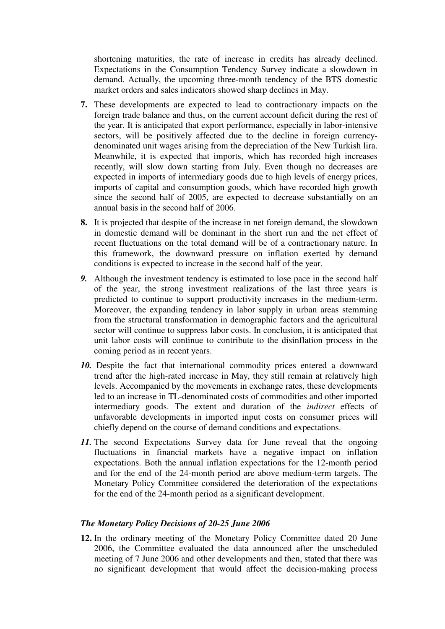shortening maturities, the rate of increase in credits has already declined. Expectations in the Consumption Tendency Survey indicate a slowdown in demand. Actually, the upcoming three-month tendency of the BTS domestic market orders and sales indicators showed sharp declines in May.

- **7.** These developments are expected to lead to contractionary impacts on the foreign trade balance and thus, on the current account deficit during the rest of the year. It is anticipated that export performance, especially in labor-intensive sectors, will be positively affected due to the decline in foreign currencydenominated unit wages arising from the depreciation of the New Turkish lira. Meanwhile, it is expected that imports, which has recorded high increases recently, will slow down starting from July. Even though no decreases are expected in imports of intermediary goods due to high levels of energy prices, imports of capital and consumption goods, which have recorded high growth since the second half of 2005, are expected to decrease substantially on an annual basis in the second half of 2006.
- **8.** It is projected that despite of the increase in net foreign demand, the slowdown in domestic demand will be dominant in the short run and the net effect of recent fluctuations on the total demand will be of a contractionary nature. In this framework, the downward pressure on inflation exerted by demand conditions is expected to increase in the second half of the year.
- *9.* Although the investment tendency is estimated to lose pace in the second half of the year, the strong investment realizations of the last three years is predicted to continue to support productivity increases in the medium-term. Moreover, the expanding tendency in labor supply in urban areas stemming from the structural transformation in demographic factors and the agricultural sector will continue to suppress labor costs. In conclusion, it is anticipated that unit labor costs will continue to contribute to the disinflation process in the coming period as in recent years.
- 10. Despite the fact that international commodity prices entered a downward trend after the high-rated increase in May, they still remain at relatively high levels. Accompanied by the movements in exchange rates, these developments led to an increase in TL-denominated costs of commodities and other imported intermediary goods. The extent and duration of the *indirect* effects of unfavorable developments in imported input costs on consumer prices will chiefly depend on the course of demand conditions and expectations.
- 11. The second Expectations Survey data for June reveal that the ongoing fluctuations in financial markets have a negative impact on inflation expectations. Both the annual inflation expectations for the 12-month period and for the end of the 24-month period are above medium-term targets. The Monetary Policy Committee considered the deterioration of the expectations for the end of the 24-month period as a significant development.

## *The Monetary Policy Decisions of 20-25 June 2006*

**12.** In the ordinary meeting of the Monetary Policy Committee dated 20 June 2006, the Committee evaluated the data announced after the unscheduled meeting of 7 June 2006 and other developments and then, stated that there was no significant development that would affect the decision-making process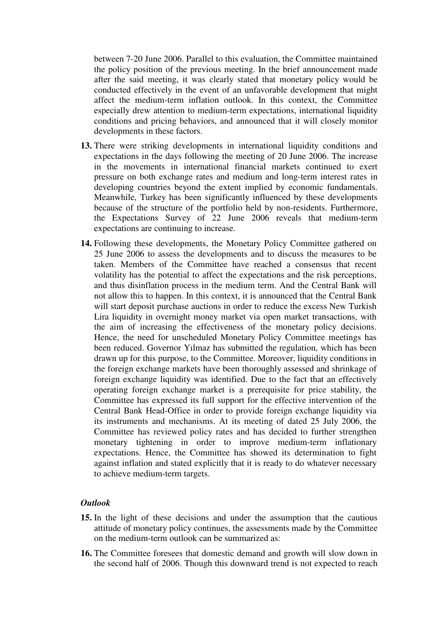between 7-20 June 2006. Parallel to this evaluation, the Committee maintained the policy position of the previous meeting. In the brief announcement made after the said meeting, it was clearly stated that monetary policy would be conducted effectively in the event of an unfavorable development that might affect the medium-term inflation outlook. In this context, the Committee especially drew attention to medium-term expectations, international liquidity conditions and pricing behaviors, and announced that it will closely monitor developments in these factors.

- **13.** There were striking developments in international liquidity conditions and expectations in the days following the meeting of 20 June 2006. The increase in the movements in international financial markets continued to exert pressure on both exchange rates and medium and long-term interest rates in developing countries beyond the extent implied by economic fundamentals. Meanwhile, Turkey has been significantly influenced by these developments because of the structure of the portfolio held by non-residents. Furthermore, the Expectations Survey of 22 June 2006 reveals that medium-term expectations are continuing to increase.
- **14.** Following these developments, the Monetary Policy Committee gathered on 25 June 2006 to assess the developments and to discuss the measures to be taken. Members of the Committee have reached a consensus that recent volatility has the potential to affect the expectations and the risk perceptions, and thus disinflation process in the medium term. And the Central Bank will not allow this to happen. In this context, it is announced that the Central Bank will start deposit purchase auctions in order to reduce the excess New Turkish Lira liquidity in overnight money market via open market transactions, with the aim of increasing the effectiveness of the monetary policy decisions. Hence, the need for unscheduled Monetary Policy Committee meetings has been reduced. Governor Yılmaz has submitted the regulation, which has been drawn up for this purpose, to the Committee. Moreover, liquidity conditions in the foreign exchange markets have been thoroughly assessed and shrinkage of foreign exchange liquidity was identified. Due to the fact that an effectively operating foreign exchange market is a prerequisite for price stability, the Committee has expressed its full support for the effective intervention of the Central Bank Head-Office in order to provide foreign exchange liquidity via its instruments and mechanisms. At its meeting of dated 25 July 2006, the Committee has reviewed policy rates and has decided to further strengthen monetary tightening in order to improve medium-term inflationary expectations. Hence, the Committee has showed its determination to fight against inflation and stated explicitly that it is ready to do whatever necessary to achieve medium-term targets.

## *Outlook*

- **15.** In the light of these decisions and under the assumption that the cautious attitude of monetary policy continues, the assessments made by the Committee on the medium-term outlook can be summarized as:
- **16.** The Committee foresees that domestic demand and growth will slow down in the second half of 2006. Though this downward trend is not expected to reach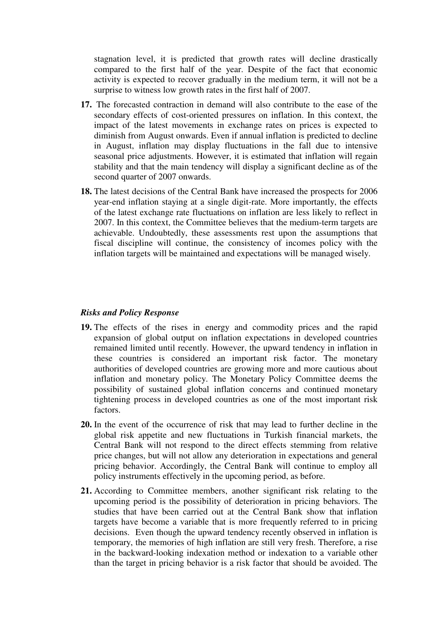stagnation level, it is predicted that growth rates will decline drastically compared to the first half of the year. Despite of the fact that economic activity is expected to recover gradually in the medium term, it will not be a surprise to witness low growth rates in the first half of 2007.

- **17.** The forecasted contraction in demand will also contribute to the ease of the secondary effects of cost-oriented pressures on inflation. In this context, the impact of the latest movements in exchange rates on prices is expected to diminish from August onwards. Even if annual inflation is predicted to decline in August, inflation may display fluctuations in the fall due to intensive seasonal price adjustments. However, it is estimated that inflation will regain stability and that the main tendency will display a significant decline as of the second quarter of 2007 onwards.
- **18.** The latest decisions of the Central Bank have increased the prospects for 2006 year-end inflation staying at a single digit-rate. More importantly, the effects of the latest exchange rate fluctuations on inflation are less likely to reflect in 2007. In this context, the Committee believes that the medium-term targets are achievable. Undoubtedly, these assessments rest upon the assumptions that fiscal discipline will continue, the consistency of incomes policy with the inflation targets will be maintained and expectations will be managed wisely.

#### *Risks and Policy Response*

- **19.** The effects of the rises in energy and commodity prices and the rapid expansion of global output on inflation expectations in developed countries remained limited until recently. However, the upward tendency in inflation in these countries is considered an important risk factor. The monetary authorities of developed countries are growing more and more cautious about inflation and monetary policy. The Monetary Policy Committee deems the possibility of sustained global inflation concerns and continued monetary tightening process in developed countries as one of the most important risk factors.
- **20.** In the event of the occurrence of risk that may lead to further decline in the global risk appetite and new fluctuations in Turkish financial markets, the Central Bank will not respond to the direct effects stemming from relative price changes, but will not allow any deterioration in expectations and general pricing behavior. Accordingly, the Central Bank will continue to employ all policy instruments effectively in the upcoming period, as before.
- **21.** According to Committee members, another significant risk relating to the upcoming period is the possibility of deterioration in pricing behaviors. The studies that have been carried out at the Central Bank show that inflation targets have become a variable that is more frequently referred to in pricing decisions. Even though the upward tendency recently observed in inflation is temporary, the memories of high inflation are still very fresh. Therefore, a rise in the backward-looking indexation method or indexation to a variable other than the target in pricing behavior is a risk factor that should be avoided. The